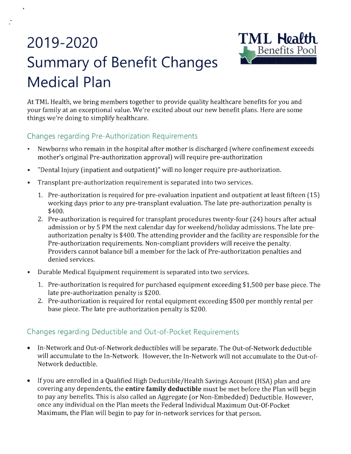# 2019-2020 TML Health **Summary of Benefit Changes Medical Plan**

•



At TML Health, we bring members together to provide quality healthcare benefits for you and your family at an exceptional value. We're excited about our new benefit plans. Here are some things we're doing to simplify healthcare.

#### Changes regarding Pre-Authorization Requirements

- Newborns who remain in the hospital after mother is discharged (where confinement exceeds mother's original Pre-authorization approval) will require pre-authorization
- "Dental Injury (inpatient and outpatient)" will no longer require pre-authorization.
- Transplant pre-authorization requirement is separated into two services.
	- 1. Pre-authorization is required for pre-evaluation inpatient and outpatient at least fifteen (15) working days prior to any pre-transplant evaluation. The late pre-authorization penalty is \$400.
	- 2. Pre-authorization is required for transplant procedures twenty-four (24) hours after actual admission or by 5 PM the next calendar day for weekend/holiday admissions. The late preauthorization penalty is \$400. The attending provider and the facility are responsible for the Pre-authorization requirements. Non-compliant providers will receive the penalty. Providers cannot balance bill a member for the lack of Pre-authorization penalties and denied services.
- Durable Medical Equipment requirement is separated into two services.
	- 1. Pre-authorization is required for purchased equipment exceeding \$1,500 per base piece. The late pre-authorization penalty is \$200.
	- 2. Pre-authorization is required for rental equipment exceeding \$500 per monthly rental per base piece. The late pre-authorization penalty is \$200.

#### Changes regarding Deductible and Out-of-Pocket Requirements

- In-Network and Out-of-Network deductibles will be separate. The Out-of-Network deductible will accumulate to the In-Network. However, the In-Network will not accumulate to the Out-of-Network deductible.
- If you are enrolled in a Qualified High Deductible/Health Savings Account (HSA) plan and are covering any dependents, the **entire family deductible** must be met before the Plan will begin to pay any benefits. This is also called an Aggregate (or Non-Embedded) Deductible. However, once any individual on the Plan meets the Federal Individual Maximum Out-Of-Pocket Maximum, the Plan will begin to pay for in-network services for that person.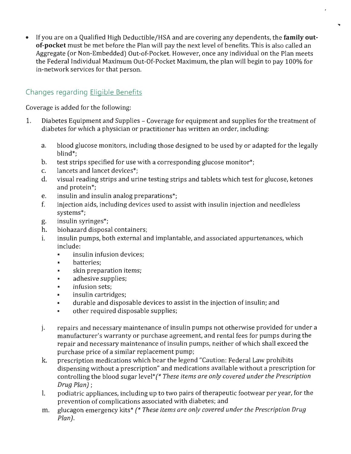• If you are on a Qualified High Deductible/HSA and are covering any dependents, the **family outof-pocket** must be met before the Plan will pay the next level of benefits. This is also called an Aggregate (or Non-Embedded) Out-of-Pocket. However, once any individual on the Plan meets the Federal Individual Maximum Out-Of-Pocket Maximum, the plan will begin to pay 100% for in-network services for that person.

### Changes regarding Eligible Benefits

Coverage is added for the following:

- 1. Diabetes Equipment and Supplies Coverage for equipment and supplies for the treatment of diabetes for which a physician or practitioner has written an order, including:
	- a. blood glucose monitors, including those designed to be used by or adapted for the legally blind\*;
	- b. test strips specified for use with a corresponding glucose monitor\*;
	- c. lancets and lancet devices\*;
	- d. visual reading strips and urine testing strips and tablets which test for glucose, ketones and protein\*;
	- e. insulin and insulin analog preparations\*;
	- f. injection aids, including devices used to assist with insulin injection and needleless systems\*;
	- g. insulin syringes\*;
	- h. biohazard disposal containers;
	- i. insulin pumps, both external and implantable, and associated appurtenances, which include:
		- insulin infusion devices:
		- batteries;
		- skin preparation items;
		- adhesive supplies;
		- infusion sets;
		- insulin cartridges;
		- durable and disposable devices to assist in the injection of insulin; and
		- other required disposable supplies;
	- j. repairs and necessary maintenance of insulin pumps not otherwise provided for under a manufacturer's warranty or purchase agreement, and rental fees for pumps during the repair and necessary maintenance of insulin pumps, neither of which shall exceed the purchase price of a similar replacement pump;
	- k. prescription medications which bear the legend "Caution: Federal Law prohibits dispensing without a prescription" and medications available without a prescription for controlling the blood sugar level\*(\* *These items are only covered under the Prescription Drug Plan);*
	- l. podiatric appliances, including up to two pairs of therapeutic footwear per year, for the prevention of complications associated with diabetes; and
	- m. glucagon emergency kits\* *(\* These items are only covered under the Prescription Drug Plan).*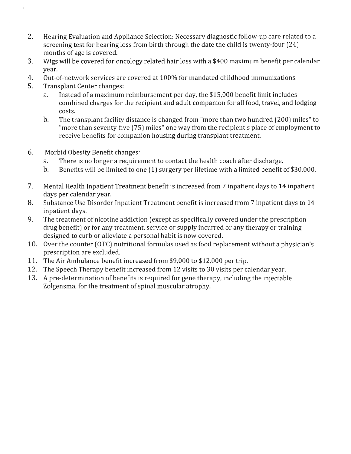- 2. Hearing Evaluation and Appliance Selection: Necessary diagnostic follow-up care related to a screening test for hearing loss from birth through the date the child is twenty-four (24) months of age is covered.
- 3. Wigs will be covered for oncology related hair loss with a \$400 maximum benefit per calendar year.
- 4. Out-of-network services are covered at 100% for mandated childhood immunizations.
- 5. Transplant Center changes:

ł

 $\mathcal{L}$ 

- a. Instead of a maximum reimbursement per day, the \$15,000 benefit limit includes combined charges for the recipient and adult companion for all food, travel, and lodging costs.
- b. The transplant facility distance is changed from "more than two hundred (200) miles" to "more than seventy-five (75) miles" one way from the recipient's place of employment to receive benefits for companion housing during transplant treatment.
- 6. Morbid Obesity Benefit changes:
	- a. There is no longer a requirement to contact the health coach after discharge.
	- b. Benefits will be limited to one (1) surgery per lifetime with a limited benefit of \$30,000.
- 7. Mental Health Inpatient Treatment benefit is increased from 7 inpatient days to 14 inpatient days per calendar year.
- 8. Substance Use Disorder Inpatient Treatment benefit is increased from 7 inpatient days to 14 inpatient days.
- 9. The treatment of nicotine addiction ( except as specifically covered under the prescription drug benefit) or for any treatment, service or supply incurred or any therapy or training designed to curb or alleviate a personal habit is now covered.
- 10. Over the counter (OTC) nutritional formulas used as food replacement without a physician's prescription are excluded.
- 11. The Air Ambulance benefit increased from \$9,000 to \$12,000 per trip.
- 12. The Speech Therapy benefit increased from 12 visits to 30 visits per calendar year.
- 13. *A* pre-determination of benefits is required for gene therapy, including the injectable Zolgensma, for the treatment of spinal muscular atrophy.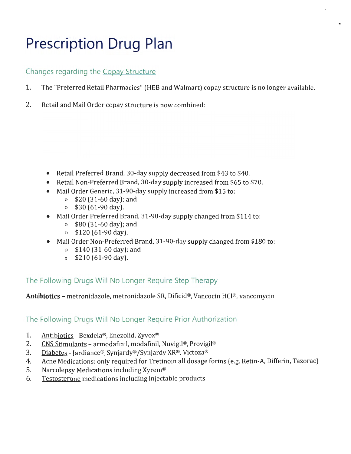## **Prescription Drug Plan**

#### Changes regarding the Copay Structure

- 1. The "Preferred Retail Pharmacies" (HEB and Walmart) copay structure is no longer available.
- 2. Retail and Mail Order copay structure is now combined:

- Retail Preferred Brand, 30-day supply decreased from \$43 to \$40.
- Retail Non-Preferred Brand, 30-day supply increased from \$65 to \$70.
- Mail Order Generic, 31-90-day supply increased from \$15 to:
	- » \$20 (31-60 day); and
	- » \$30 (61-90 day).
- Mail Order Preferred Brand, 31-90-day supply changed from \$114 to:
	- » \$80 (31-60 day); and
	- » \$120 (61-90 day).
- Mail Order Non-Preferred Brand, 31-90-day supply changed from \$180 to:
	- » \$140 (31-60 day); and
	- » \$210 (61-90 day).

The Following Drugs Will No Longer Require Step Therapy

**Antibiotics** - metronidazole, metronidazole SR, Dificid®, Vancocin HCl®, vancomycin

#### The Following Drugs Will No Longer Require Prior Authorization

- 1. Antibiotics Bexdela®, linezolid, Zyvox®
- 2. CNS Stimulants armodafinil, modafinil, Nuvigil®, Provigil®
- 3. Diabetes Jardiance®, Synjardy® /Synjardy XR®, Victoza®
- 4. Acne Medications: only required for Tretinoin all dosage forms (e.g. Retin-A, Differin, Tazorac)
- 5. Narcolepsy Medications including Xyrem®
- 6. Testosterone medications including injectable products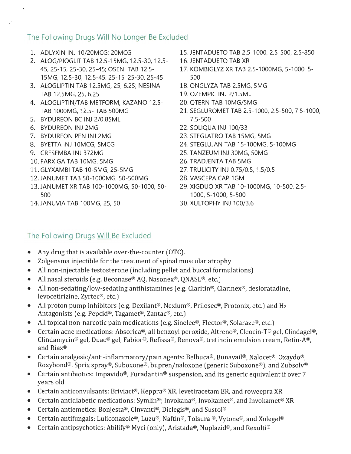#### The Following Drugs Will No Longer Be Excluded

- 1. ADLYXIN INJ 10/20MCG; 20MCG
- 2. ALOG/PIOGLIT TAB 12.5-15MG, 12.5-30, 12.5- 45, 25-15, 25-30, 25-45; OSENI TAB 12.5- 15MG, 12.5-30, 12.5-45, 25-15, 25-30, 25-45
- 3. ALOGLIPTIN TAB 12.SMG, 25, 6.25; NESINA TAB 12.SMG, 25, 6.25
- 4. ALOGLIPTIN/TAB METFORM, KAZANO 12.5- TAB 1000MG, 12.5- TAB 500MG
- 5. BYDUREON BC INJ 2/0.85ML
- 6. BYDUREON INJ 2MG
- 7. BYDUREON PEN INJ 2MG
- 8. BYETTA INJ 10MCG, 5MCG
- 9. CRESEMBA INJ 372MG
- 10. FARXIGA TAB 10MG, 5MG
- 11. GLYXAMBI TAB 10-5MG, 25-5MG
- 12. JAN UM ET TAB 50-1000MG, 50-500MG
- 13.JANUMET XR TAB 100-1000MG, 50-1000, 50- 500
- 14. JANUVIA TAB 100MG, 25, 50
- 15. JENTADUETO TAB 2.5-1000, 2.5-500, 2.5-850
- 16. JENTADUETO TAB XR
- 17. KOMBIGLYZ XR TAB 2.5-1000MG, 5-1000, 5- 500
- 18. ONGLYZA TAB 2.5MG, 5MG
- 19. OZEMPIC INJ 2/1.5ML
- 20. QTERN TAB 10MG/5MG
- 21. SEGLUROMET TAB 2.5-1000, 2.5-500, 7.5-1000, 7.5-500
- 22. SOLIQUA INJ 100/33
- 23. STEGLATRO TAB 15MG, 5MG
- 24. STEGLUJAN TAB 15-100MG, 5-100MG
- 25. TANZEUM INJ 30MG, 50MG
- 26. TRADJENTA TAB 5MG
- 27. TRULICITY INJ 0.75/0.5, 1.5/0.5
- 28. VASCEPA CAP 1GM
- 29. XIGDUO XR TAB 10-1000MG, 10-500, 2.5- 1000, 5-1000, 5-500
- 30. XULTOPHY INJ 100/3.6

#### The Following Drugs Will Be Excluded

- Any drug that is available over-the-counter (OTC).
- Zolgensma injectible for the treatment of spinal muscular atrophy
- All non-injectable testosterone (including pellet and buccal formulations)
- All nasal steroids (e.g. Beconase® AQ, Nasonex®, QNASL®, etc.)
- All non-sedating/low-sedating antihistamines (e.g. Claritin®, Clarinex®, desloratadine, levocetirizine, Zyrtec®, etc.)
- All proton pump inhibitors (e.g. Dexilant®, Nexium®, Prilosec®, Protonix, etc.) and H<sub>2</sub> Antagonists (e.g. Pepcid®, Tagamet®, Zantac®, etc.)
- All topical non-narcotic pain medications (e.g. Sinelee®, Flector®, Solaraze®, etc.)
- Certain acne medications: Absorica®, all benzoyl peroxide, Altreno®, Cleocin-T® gel, Clindagel®, Clindamycin® gel, Duac® gel, Fabior®, Refissa®, Renova®, tretinoin emulsion cream, Retin-A®, and Riax®
- Certain analgesic/anti-inflammatory /pain agents: Belbuca®, Bunavail®, Nalocet®, Oxaydo®, Roxybond®, Sprix spray®, Suboxone®, bupren/naloxone (generic Suboxone®), and Zubsolv®
- Certain antibiotics: Impavido®, Furadantin® suspension, and its generic equivalent if over 7 years old
- Certain anticonvulsants: Briviact®, Keppra® XR, levetiracetam ER, and roweepra XR
- Certain antidiabetic medications: Symlin®; Invokana®, Invokamet®, and Invokamet® XR
- Certain antiemetics: Bonjesta®, Cinvanti®, Diclegis®, and Sustol®
- Certain antifungals: Luliconazole®, Luzu®, Naftin®, Tolsura ®, Vytone®, and Xolegel®
- Certain antipsychotics: Abilify® Myci (only), Aristada®, Nuplazid®, and Rexulti®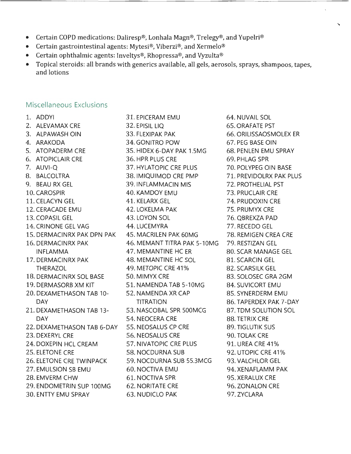- Certain COPD medications: Daliresp®, Lonhala Magn®, Trelegy®, and Yupelri®
- Certain gastrointestinal agents: Mytesi®, Viberzi®, and Xermelo®
- Certain ophthalmic agents: Inveltys®, Rhopressa®, and Vyzulta®
- Topical steroids: all brands with generics available, all gels, aerosols, sprays, shampoos, tapes, and lotions

#### Miscellaneous Exclusions

- 
- 
- 
- 
- 
- 
- 
- 
- 
- 
- 
- 
- 
- 
- 
- 
- 
- 
- 
- 
- 
- 
- 
- 
- 
- 
- 
- 
- 
- 30. ENTTY EMU SPRAY 63. NUDICLO PAK 97.ZYCLARA

1. ADDYI 31. EPICERAM EMU 64. NUVAIL SOL 2. ALEVAMAX CRE 32. EPISIL LIQ 65. ORAFATE PST 3. ALPAWASH OIN 33. FLEXIPAK PAK 66. ORILISSAOSMOLEX ER 4. ARAKODA 34. GONITRO POW 67. PEG BASE OIN 5. ATOPADERM CRE 35. HIDEX 6-DAY PAK 1.5MG 68. PENLEN EMU SPRAY 6. ATOPICLAIR CRE 36. HPR PLUS CRE 69. PHLAG SPR 7. AUVI-Q 37. HYLATOPIC CRE PLUS 70. POLYPEG OIN BASE 8. BALCOLTRA 38. IMIQUIMOD CRE PMP 71. PREVIDOLRX PAK PLUS 9. BEAU RX GEL 39. INFLAMMACIN MIS 72. PROTHELIAL PST 10. CAROSPIR 40. KAMDOY EMU 73. PRUCLAIR CRE 11. CELACYN GEL 41. KELARX GEL 74. PRUDOXIN CRE 12. CERACADE EMU 42. LOKELMA PAK 75. PRUMYX CRE 13. COPASIL GEL 43. LOYON SOL 76. QBREXZA PAD 14. CRINONE GEL VAG 44. LUCEMYRA 77. RECEDO GEL 15. DERMACINRX PAK DPN PAK 45. MACRILEN PAK 60MG 78. REMIGEN CREA CRE 16. DERMACINRX PAK 46. MEMANT TITRA PAK 5-10MG 79. RESTIZAN GEL INFLAMMA 47. MEMANTINE HC ER 80. SCAR MANAGE GEL 17. DERMACINRX PAK 48. MEMANTINE HC SOL 81. SCARCIN GEL THERAZOL 49. METOPIC CRE 41% 82. SCARSILK GEL 18. DERMACINRX SOL BASE 50. MIMYX CRE 83. SOLOSEC GRA 2GM 19. DERMASORB XM KIT 51. NAMENDA TAB 5-10MG 84. SUVICORT EMU 20. DEXAMETHASON TAB 10- 52. NAMENDA XR CAP 85. SYNERDERM EMU DAY TITRATION 86. TAPERDEX PAK 7-DAY 21. DEXAMETHASON TAB 13- 53. NASCOBAL SPR S00MCG 87. TDM SOLUTION SOL DAY 69. TETRIX CRE BAY SALES AND SALE SALE SERVICE RESEARCHER SERVICE BAY 22. DEXAMETHASON TAB 6-DAY 55. NEOSALUS CP CRE 89. TIGLUTIK SUS 23. DEXERYL CRE 56. NEOSALUS CRE 90. TOLAK CRE 24. DOXEPIN HCL CREAM 57. NIVATOPIC CRE PLUS 91. UREA CRE 41% 25. ELETONE CRE 58. NOCDURNA SUB 92. UTOPIC CRE 41 % 26. ELETONE CRE TWINPACK 59. NOCDURNA SUB 55.3MCG 93. VALCHLOR GEL 27. EMULSION SB EMU 60. NOCTIVA EMU 94. XENAFLAMM PAK 28. EMVERM CHW 61. NOCTIVA SPR 95. XERALUX CRE 29. ENDOMETRIN SUP 100MG 62. NORITATE CRE 96. ZONALON CRE